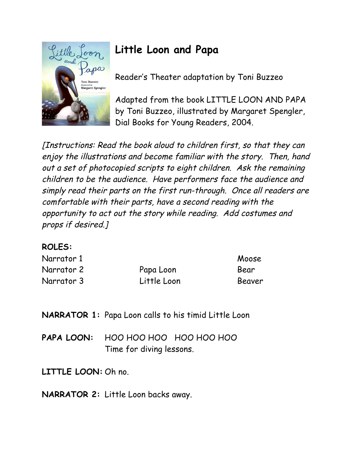

## **Little Loon and Papa**

Reader's Theater adaptation by Toni Buzzeo

Adapted from the book LITTLE LOON AND PAPA by Toni Buzzeo, illustrated by Margaret Spengler, Dial Books for Young Readers, 2004.

[Instructions: Read the book aloud to children first, so that they can enjoy the illustrations and become familiar with the story. Then, hand out a set of photocopied scripts to eight children. Ask the remaining children to be the audience. Have performers face the audience and simply read their parts on the first run-through. Once all readers are comfortable with their parts, have a second reading with the opportunity to act out the story while reading. Add costumes and props if desired.]

## **ROLES:**

| Narrator 1 |             | Moose  |
|------------|-------------|--------|
| Narrator 2 | Papa Loon   | Bear   |
| Narrator 3 | Little Loon | Beaver |

**NARRATOR 1:** Papa Loon calls to his timid Little Loon

**PAPA LOON:** HOO HOO HOO HOO HOO HOO Time for diving lessons.

**LITTLE LOON:** Oh no.

**NARRATOR 2:** Little Loon backs away.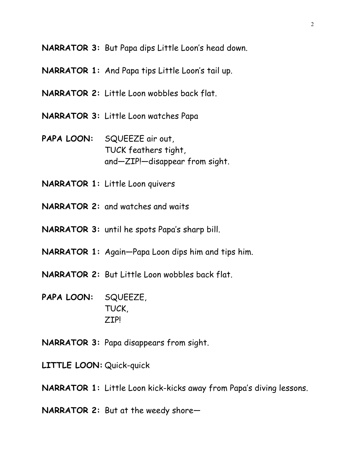**NARRATOR 3:** But Papa dips Little Loon's head down.

- **NARRATOR 1:** And Papa tips Little Loon's tail up.
- **NARRATOR 2:** Little Loon wobbles back flat.
- **NARRATOR 3:** Little Loon watches Papa
- **PAPA LOON:** SQUEEZE air out, TUCK feathers tight, and—ZIP!—disappear from sight.
- **NARRATOR 1:** Little Loon quivers
- **NARRATOR 2:** and watches and waits
- **NARRATOR 3:** until he spots Papa's sharp bill.
- **NARRATOR 1:** Again—Papa Loon dips him and tips him.
- **NARRATOR 2:** But Little Loon wobbles back flat.
- **PAPA LOON:** SQUEEZE, TUCK, ZIP!
- **NARRATOR 3:** Papa disappears from sight.
- **LITTLE LOON:** Quick-quick
- **NARRATOR 1:** Little Loon kick-kicks away from Papa's diving lessons.
- **NARRATOR 2:** But at the weedy shore—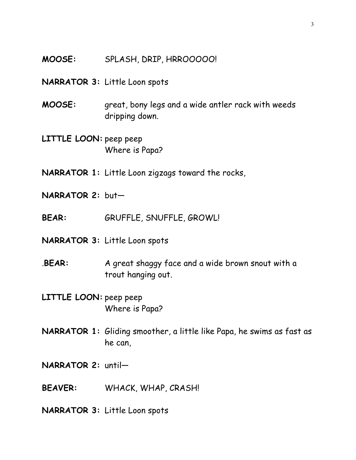- **MOOSE:** SPLASH, DRIP, HRROOOOO!
- **NARRATOR 3:** Little Loon spots
- **MOOSE:** great, bony legs and a wide antler rack with weeds dripping down.
- **LITTLE LOON:** peep peep Where is Papa?
- **NARRATOR 1:** Little Loon zigzags toward the rocks,
- **NARRATOR 2:** but—
- **BEAR:** GRUFFLE, SNUFFLE, GROWL!
- **NARRATOR 3:** Little Loon spots
- .**BEAR:** A great shaggy face and a wide brown snout with a trout hanging out.
- **LITTLE LOON:** peep peep Where is Papa?
- **NARRATOR 1:** Gliding smoother, a little like Papa, he swims as fast as he can,
- **NARRATOR 2:** until—
- **BEAVER:** WHACK, WHAP, CRASH!
- **NARRATOR 3:** Little Loon spots